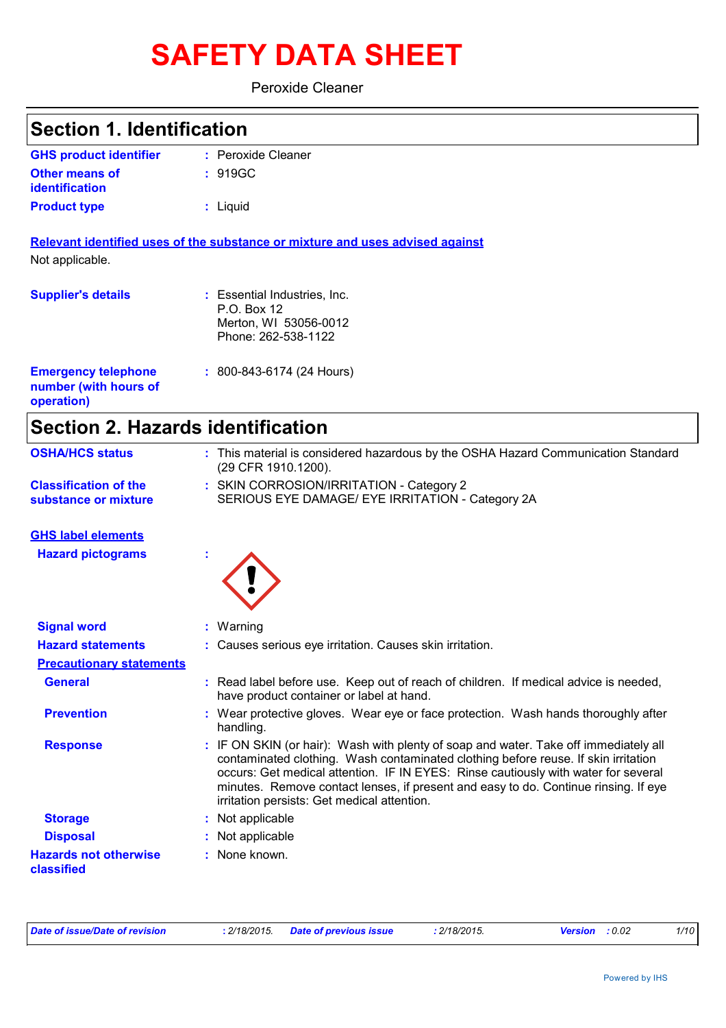# **SAFETY DATA SHEET**

Peroxide Cleaner

| <b>Section 1. Identification</b>                                  |                                                                                                                                                                                                                                                                                                                                                                                                        |
|-------------------------------------------------------------------|--------------------------------------------------------------------------------------------------------------------------------------------------------------------------------------------------------------------------------------------------------------------------------------------------------------------------------------------------------------------------------------------------------|
| <b>GHS product identifier</b>                                     | : Peroxide Cleaner                                                                                                                                                                                                                                                                                                                                                                                     |
| <b>Other means of</b><br><b>identification</b>                    | : 919GC                                                                                                                                                                                                                                                                                                                                                                                                |
| <b>Product type</b>                                               | : Liquid                                                                                                                                                                                                                                                                                                                                                                                               |
| Not applicable.                                                   | Relevant identified uses of the substance or mixture and uses advised against                                                                                                                                                                                                                                                                                                                          |
| <b>Supplier's details</b>                                         | : Essential Industries, Inc.<br>P.O. Box 12<br>Merton, WI 53056-0012<br>Phone: 262-538-1122                                                                                                                                                                                                                                                                                                            |
| <b>Emergency telephone</b><br>number (with hours of<br>operation) | $: 800 - 843 - 6174 (24$ Hours)                                                                                                                                                                                                                                                                                                                                                                        |
| <b>Section 2. Hazards identification</b>                          |                                                                                                                                                                                                                                                                                                                                                                                                        |
| <b>OSHA/HCS status</b>                                            | : This material is considered hazardous by the OSHA Hazard Communication Standard<br>(29 CFR 1910.1200).                                                                                                                                                                                                                                                                                               |
| <b>Classification of the</b><br>substance or mixture              | : SKIN CORROSION/IRRITATION - Category 2<br>SERIOUS EYE DAMAGE/ EYE IRRITATION - Category 2A                                                                                                                                                                                                                                                                                                           |
| <b>GHS label elements</b>                                         |                                                                                                                                                                                                                                                                                                                                                                                                        |
| <b>Hazard pictograms</b>                                          |                                                                                                                                                                                                                                                                                                                                                                                                        |
| <b>Signal word</b>                                                | : Warning                                                                                                                                                                                                                                                                                                                                                                                              |
| <b>Hazard statements</b>                                          | : Causes serious eye irritation. Causes skin irritation.                                                                                                                                                                                                                                                                                                                                               |
| <b>Precautionary statements</b>                                   |                                                                                                                                                                                                                                                                                                                                                                                                        |
| <b>General</b>                                                    | : Read label before use. Keep out of reach of children. If medical advice is needed,<br>have product container or label at hand.                                                                                                                                                                                                                                                                       |
| <b>Prevention</b>                                                 | : Wear protective gloves. Wear eye or face protection. Wash hands thoroughly after<br>handling.                                                                                                                                                                                                                                                                                                        |
| <b>Response</b>                                                   | : IF ON SKIN (or hair): Wash with plenty of soap and water. Take off immediately all<br>contaminated clothing. Wash contaminated clothing before reuse. If skin irritation<br>occurs: Get medical attention. IF IN EYES: Rinse cautiously with water for several<br>minutes. Remove contact lenses, if present and easy to do. Continue rinsing. If eye<br>irritation persists: Get medical attention. |
| <b>Storage</b>                                                    | : Not applicable                                                                                                                                                                                                                                                                                                                                                                                       |
| <b>Disposal</b>                                                   | Not applicable                                                                                                                                                                                                                                                                                                                                                                                         |
| <b>Hazards not otherwise</b><br>classified                        | : None known.                                                                                                                                                                                                                                                                                                                                                                                          |

*Date of issue/Date of revision* **:** *2/18/2015. Date of previous issue : 2/18/2015. Version : 0.02 1/10*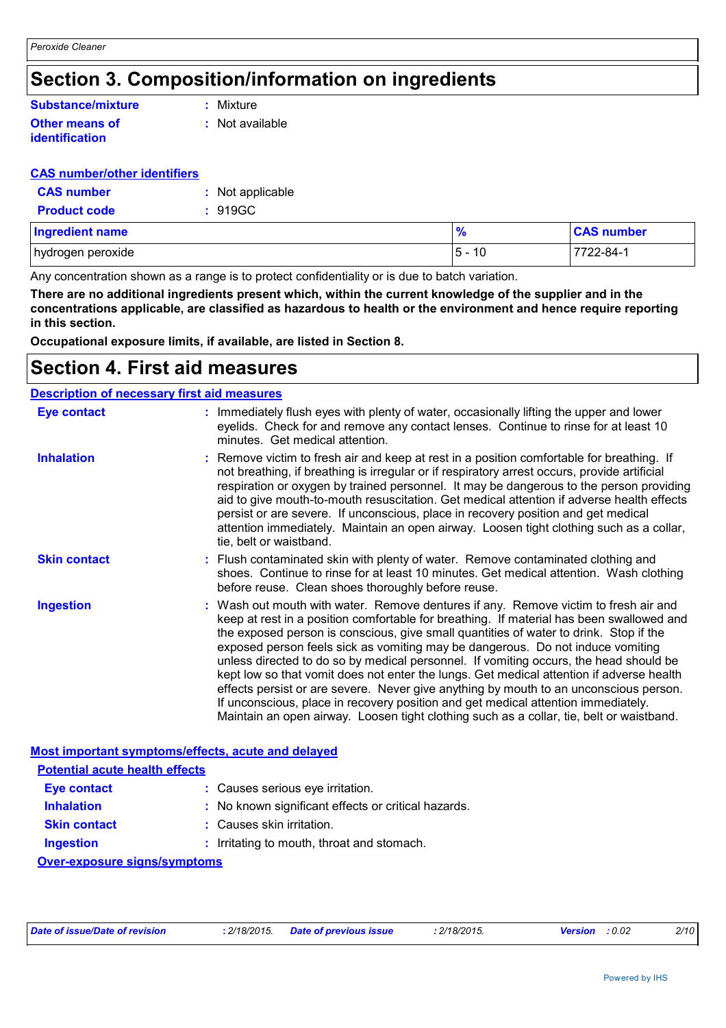### **Section 3. Composition/information on ingredients**

### **Substance/mixture**

#### **Other means of identification**

**:** Mixture

**:** Not available

#### **CAS number/other identifiers**

| <b>CAS number</b>   | : Not applicable |
|---------------------|------------------|
| <b>Product code</b> | : 919GC          |

| <b>Ingredient name</b> | $\frac{9}{6}$            | <b>CAS number</b> |
|------------------------|--------------------------|-------------------|
| hydrogen peroxide      | $5 -$<br>$\overline{10}$ | 7722-84-          |

Any concentration shown as a range is to protect confidentiality or is due to batch variation.

**There are no additional ingredients present which, within the current knowledge of the supplier and in the concentrations applicable, are classified as hazardous to health or the environment and hence require reporting in this section.**

**Occupational exposure limits, if available, are listed in Section 8.**

### **Section 4. First aid measures**

#### **Description of necessary first aid measures**

| <b>Eye contact</b>                                                                                              | : Immediately flush eyes with plenty of water, occasionally lifting the upper and lower<br>eyelids. Check for and remove any contact lenses. Continue to rinse for at least 10<br>minutes. Get medical attention.                                                                                                                                                                                                                                                                                                                                                                                                                                                                                                                                                                                                         |
|-----------------------------------------------------------------------------------------------------------------|---------------------------------------------------------------------------------------------------------------------------------------------------------------------------------------------------------------------------------------------------------------------------------------------------------------------------------------------------------------------------------------------------------------------------------------------------------------------------------------------------------------------------------------------------------------------------------------------------------------------------------------------------------------------------------------------------------------------------------------------------------------------------------------------------------------------------|
| <b>Inhalation</b>                                                                                               | : Remove victim to fresh air and keep at rest in a position comfortable for breathing. If<br>not breathing, if breathing is irregular or if respiratory arrest occurs, provide artificial<br>respiration or oxygen by trained personnel. It may be dangerous to the person providing<br>aid to give mouth-to-mouth resuscitation. Get medical attention if adverse health effects<br>persist or are severe. If unconscious, place in recovery position and get medical<br>attention immediately. Maintain an open airway. Loosen tight clothing such as a collar,<br>tie, belt or waistband.                                                                                                                                                                                                                              |
| <b>Skin contact</b>                                                                                             | : Flush contaminated skin with plenty of water. Remove contaminated clothing and<br>shoes. Continue to rinse for at least 10 minutes. Get medical attention. Wash clothing<br>before reuse. Clean shoes thoroughly before reuse.                                                                                                                                                                                                                                                                                                                                                                                                                                                                                                                                                                                          |
| <b>Ingestion</b>                                                                                                | : Wash out mouth with water. Remove dentures if any. Remove victim to fresh air and<br>keep at rest in a position comfortable for breathing. If material has been swallowed and<br>the exposed person is conscious, give small quantities of water to drink. Stop if the<br>exposed person feels sick as vomiting may be dangerous. Do not induce vomiting<br>unless directed to do so by medical personnel. If vomiting occurs, the head should be<br>kept low so that vomit does not enter the lungs. Get medical attention if adverse health<br>effects persist or are severe. Never give anything by mouth to an unconscious person.<br>If unconscious, place in recovery position and get medical attention immediately.<br>Maintain an open airway. Loosen tight clothing such as a collar, tie, belt or waistband. |
| the contract of the contract of the contract of the contract of the contract of the contract of the contract of | Most important symptoms/effects, acute and delayed                                                                                                                                                                                                                                                                                                                                                                                                                                                                                                                                                                                                                                                                                                                                                                        |

| <b>Potential acute health effects</b> |                                                     |  |  |  |
|---------------------------------------|-----------------------------------------------------|--|--|--|
| Eye contact                           | : Causes serious eye irritation.                    |  |  |  |
| <b>Inhalation</b>                     | : No known significant effects or critical hazards. |  |  |  |
| <b>Skin contact</b>                   | : Causes skin irritation.                           |  |  |  |
| <b>Ingestion</b>                      | : Irritating to mouth, throat and stomach.          |  |  |  |
| <b>Over-exposure signs/symptoms</b>   |                                                     |  |  |  |

| Date of issue/Date of revision | : 2/18/2015 Date of previous issue | : 2/18/2015. | <b>Version</b> : 0.02 | 2/10 |
|--------------------------------|------------------------------------|--------------|-----------------------|------|
|--------------------------------|------------------------------------|--------------|-----------------------|------|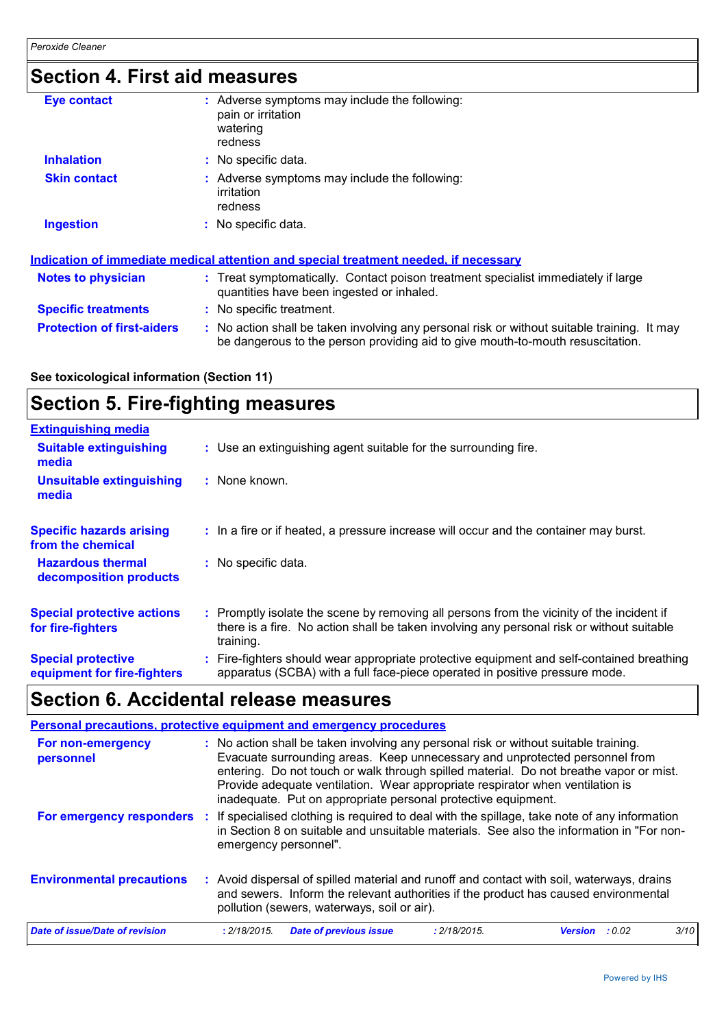### **Section 4. First aid measures**

| <b>Eye contact</b>                | Adverse symptoms may include the following:<br>pain or irritation<br>watering<br>redness                                                                                      |  |
|-----------------------------------|-------------------------------------------------------------------------------------------------------------------------------------------------------------------------------|--|
| <b>Inhalation</b>                 | : No specific data.                                                                                                                                                           |  |
| <b>Skin contact</b>               | : Adverse symptoms may include the following:<br>irritation<br>redness                                                                                                        |  |
| <b>Ingestion</b>                  | : No specific data.                                                                                                                                                           |  |
|                                   | <u>Indication of immediate medical attention and special treatment needed, if necessary</u>                                                                                   |  |
| <b>Notes to physician</b>         | : Treat symptomatically. Contact poison treatment specialist immediately if large<br>quantities have been ingested or inhaled.                                                |  |
| <b>Specific treatments</b>        | : No specific treatment.                                                                                                                                                      |  |
| <b>Protection of first-aiders</b> | : No action shall be taken involving any personal risk or without suitable training. It may<br>be dangerous to the person providing aid to give mouth-to-mouth resuscitation. |  |

### **See toxicological information (Section 11)**

### **Section 5. Fire-fighting measures**

| <b>Extinguishing media</b>                               |                                                                                                                                                                                                     |
|----------------------------------------------------------|-----------------------------------------------------------------------------------------------------------------------------------------------------------------------------------------------------|
| <b>Suitable extinguishing</b><br>media                   | : Use an extinguishing agent suitable for the surrounding fire.                                                                                                                                     |
| <b>Unsuitable extinguishing</b><br>media                 | $:$ None known.                                                                                                                                                                                     |
| <b>Specific hazards arising</b><br>from the chemical     | : In a fire or if heated, a pressure increase will occur and the container may burst.                                                                                                               |
| <b>Hazardous thermal</b><br>decomposition products       | : No specific data.                                                                                                                                                                                 |
| <b>Special protective actions</b><br>for fire-fighters   | : Promptly isolate the scene by removing all persons from the vicinity of the incident if<br>there is a fire. No action shall be taken involving any personal risk or without suitable<br>training. |
| <b>Special protective</b><br>equipment for fire-fighters | : Fire-fighters should wear appropriate protective equipment and self-contained breathing<br>apparatus (SCBA) with a full face-piece operated in positive pressure mode.                            |

### **Section 6. Accidental release measures**

| Personal precautions, protective equipment and emergency procedures |                       |                                                                                                                                                                                                                                                                                                                                                                                                                 |              |         |        |      |
|---------------------------------------------------------------------|-----------------------|-----------------------------------------------------------------------------------------------------------------------------------------------------------------------------------------------------------------------------------------------------------------------------------------------------------------------------------------------------------------------------------------------------------------|--------------|---------|--------|------|
| For non-emergency<br>personnel                                      |                       | : No action shall be taken involving any personal risk or without suitable training.<br>Evacuate surrounding areas. Keep unnecessary and unprotected personnel from<br>entering. Do not touch or walk through spilled material. Do not breathe vapor or mist.<br>Provide adequate ventilation. Wear appropriate respirator when ventilation is<br>inadequate. Put on appropriate personal protective equipment. |              |         |        |      |
| For emergency responders                                            | emergency personnel". | If specialised clothing is required to deal with the spillage, take note of any information<br>in Section 8 on suitable and unsuitable materials. See also the information in "For non-                                                                                                                                                                                                                         |              |         |        |      |
| <b>Environmental precautions</b>                                    |                       | : Avoid dispersal of spilled material and runoff and contact with soil, waterways, drains<br>and sewers. Inform the relevant authorities if the product has caused environmental<br>pollution (sewers, waterways, soil or air).                                                                                                                                                                                 |              |         |        |      |
| Date of issue/Date of revision                                      | : 2/18/2015.          | <b>Date of previous issue</b>                                                                                                                                                                                                                                                                                                                                                                                   | : 2/18/2015. | Version | : 0.02 | 3/10 |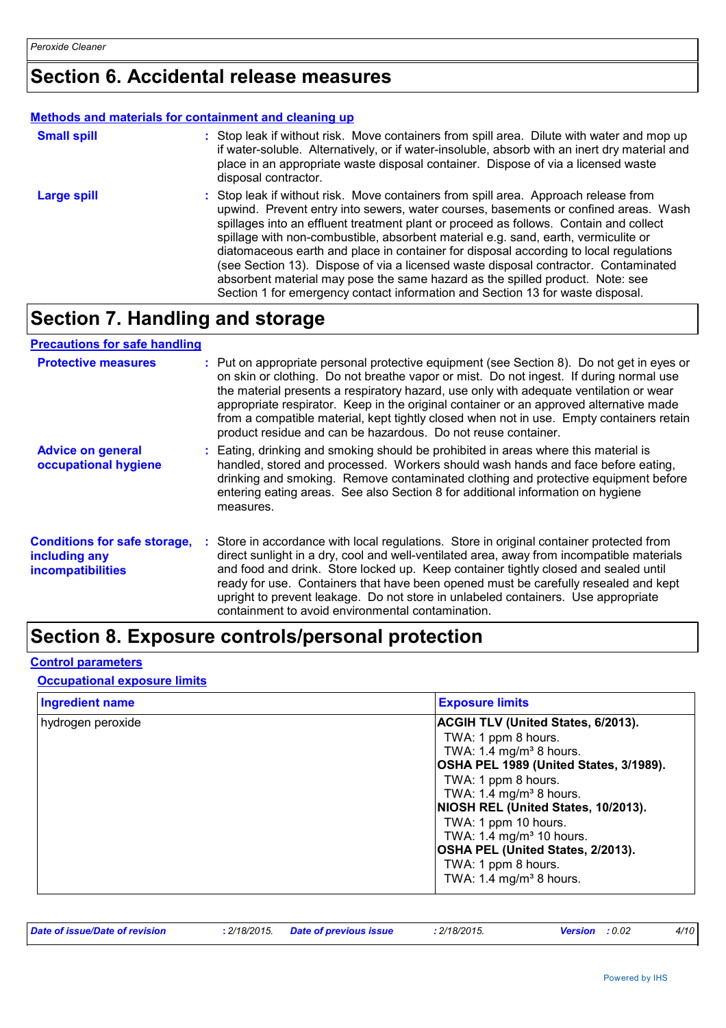### **Section 6. Accidental release measures**

#### **Methods and materials for containment and cleaning up**

| <b>Small spill</b> | : Stop leak if without risk. Move containers from spill area. Dilute with water and mop up<br>if water-soluble. Alternatively, or if water-insoluble, absorb with an inert dry material and<br>place in an appropriate waste disposal container. Dispose of via a licensed waste<br>disposal contractor.                                                                                                                                                                                                                                                                                                                                                                                                     |
|--------------------|--------------------------------------------------------------------------------------------------------------------------------------------------------------------------------------------------------------------------------------------------------------------------------------------------------------------------------------------------------------------------------------------------------------------------------------------------------------------------------------------------------------------------------------------------------------------------------------------------------------------------------------------------------------------------------------------------------------|
| <b>Large spill</b> | : Stop leak if without risk. Move containers from spill area. Approach release from<br>upwind. Prevent entry into sewers, water courses, basements or confined areas. Wash<br>spillages into an effluent treatment plant or proceed as follows. Contain and collect<br>spillage with non-combustible, absorbent material e.g. sand, earth, vermiculite or<br>diatomaceous earth and place in container for disposal according to local regulations<br>(see Section 13). Dispose of via a licensed waste disposal contractor. Contaminated<br>absorbent material may pose the same hazard as the spilled product. Note: see<br>Section 1 for emergency contact information and Section 13 for waste disposal. |

### **Section 7. Handling and storage**

#### **Advice on general occupational hygiene Conditions for safe storage,** : Store in accordance with local regulations. Store in original container protected from **including any incompatibilities** Eating, drinking and smoking should be prohibited in areas where this material is **:** handled, stored and processed. Workers should wash hands and face before eating, drinking and smoking. Remove contaminated clothing and protective equipment before entering eating areas. See also Section 8 for additional information on hygiene measures. direct sunlight in a dry, cool and well-ventilated area, away from incompatible materials and food and drink. Store locked up. Keep container tightly closed and sealed until ready for use. Containers that have been opened must be carefully resealed and kept upright to prevent leakage. Do not store in unlabeled containers. Use appropriate containment to avoid environmental contamination. **Protective measures** : Put on appropriate personal protective equipment (see Section 8). Do not get in eyes or on skin or clothing. Do not breathe vapor or mist. Do not ingest. If during normal use the material presents a respiratory hazard, use only with adequate ventilation or wear appropriate respirator. Keep in the original container or an approved alternative made from a compatible material, kept tightly closed when not in use. Empty containers retain product residue and can be hazardous. Do not reuse container. **Precautions for safe handling**

### **Section 8. Exposure controls/personal protection**

#### **Control parameters**

#### **Occupational exposure limits**

| <b>Ingredient name</b> | <b>Exposure limits</b>                                                                                                                                                                                                                                                                                                                                                                                                  |
|------------------------|-------------------------------------------------------------------------------------------------------------------------------------------------------------------------------------------------------------------------------------------------------------------------------------------------------------------------------------------------------------------------------------------------------------------------|
| hydrogen peroxide      | <b>ACGIH TLV (United States, 6/2013).</b><br>TWA: 1 ppm 8 hours.<br>TWA: 1.4 mg/m <sup>3</sup> 8 hours.<br>OSHA PEL 1989 (United States, 3/1989).<br>TWA: 1 ppm 8 hours.<br>TWA: $1.4 \text{ mg/m}^3$ 8 hours.<br>NIOSH REL (United States, 10/2013).<br>TWA: 1 ppm 10 hours.<br>TWA: $1.4 \text{ mg/m}^3$ 10 hours.<br>OSHA PEL (United States, 2/2013).<br>TWA: 1 ppm 8 hours.<br>TWA: 1.4 mg/m <sup>3</sup> 8 hours. |

| Date of issue/Date of revision<br>: 2/18/2015 Date of previous issue | $2/18/2015$ . | <b>Version</b> : 0.02 |  |
|----------------------------------------------------------------------|---------------|-----------------------|--|
|----------------------------------------------------------------------|---------------|-----------------------|--|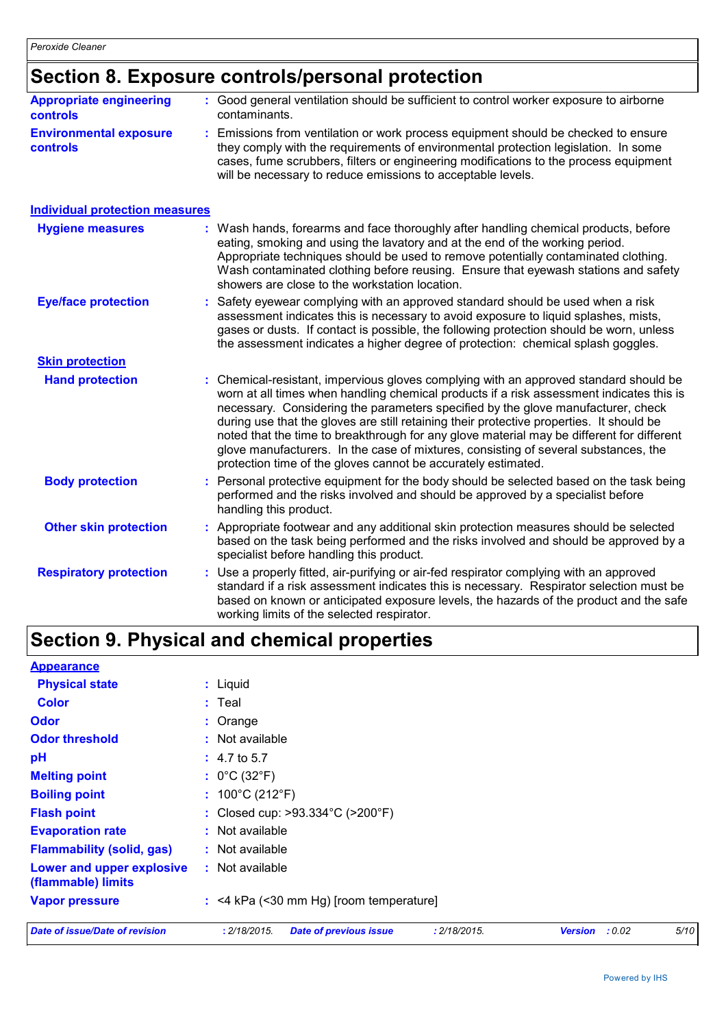### **Section 8. Exposure controls/personal protection**

|                                            | oconon ol Exposure controlsipersonal protection                                                                                                                                                                                                                                                                                                                                                                                                                                                                                                                                                                      |
|--------------------------------------------|----------------------------------------------------------------------------------------------------------------------------------------------------------------------------------------------------------------------------------------------------------------------------------------------------------------------------------------------------------------------------------------------------------------------------------------------------------------------------------------------------------------------------------------------------------------------------------------------------------------------|
| <b>Appropriate engineering</b><br>controls | : Good general ventilation should be sufficient to control worker exposure to airborne<br>contaminants.                                                                                                                                                                                                                                                                                                                                                                                                                                                                                                              |
| <b>Environmental exposure</b><br>controls  | Emissions from ventilation or work process equipment should be checked to ensure<br>they comply with the requirements of environmental protection legislation. In some<br>cases, fume scrubbers, filters or engineering modifications to the process equipment<br>will be necessary to reduce emissions to acceptable levels.                                                                                                                                                                                                                                                                                        |
| <b>Individual protection measures</b>      |                                                                                                                                                                                                                                                                                                                                                                                                                                                                                                                                                                                                                      |
| <b>Hygiene measures</b>                    | Wash hands, forearms and face thoroughly after handling chemical products, before<br>eating, smoking and using the lavatory and at the end of the working period.<br>Appropriate techniques should be used to remove potentially contaminated clothing.<br>Wash contaminated clothing before reusing. Ensure that eyewash stations and safety<br>showers are close to the workstation location.                                                                                                                                                                                                                      |
| <b>Eye/face protection</b>                 | Safety eyewear complying with an approved standard should be used when a risk<br>assessment indicates this is necessary to avoid exposure to liquid splashes, mists,<br>gases or dusts. If contact is possible, the following protection should be worn, unless<br>the assessment indicates a higher degree of protection: chemical splash goggles.                                                                                                                                                                                                                                                                  |
| <b>Skin protection</b>                     |                                                                                                                                                                                                                                                                                                                                                                                                                                                                                                                                                                                                                      |
| <b>Hand protection</b>                     | Chemical-resistant, impervious gloves complying with an approved standard should be<br>worn at all times when handling chemical products if a risk assessment indicates this is<br>necessary. Considering the parameters specified by the glove manufacturer, check<br>during use that the gloves are still retaining their protective properties. It should be<br>noted that the time to breakthrough for any glove material may be different for different<br>glove manufacturers. In the case of mixtures, consisting of several substances, the<br>protection time of the gloves cannot be accurately estimated. |
| <b>Body protection</b>                     | Personal protective equipment for the body should be selected based on the task being<br>performed and the risks involved and should be approved by a specialist before<br>handling this product.                                                                                                                                                                                                                                                                                                                                                                                                                    |
| <b>Other skin protection</b>               | Appropriate footwear and any additional skin protection measures should be selected<br>based on the task being performed and the risks involved and should be approved by a<br>specialist before handling this product.                                                                                                                                                                                                                                                                                                                                                                                              |
| <b>Respiratory protection</b>              | Use a properly fitted, air-purifying or air-fed respirator complying with an approved<br>standard if a risk assessment indicates this is necessary. Respirator selection must be<br>based on known or anticipated exposure levels, the hazards of the product and the safe<br>working limits of the selected respirator.                                                                                                                                                                                                                                                                                             |

## **Section 9. Physical and chemical properties**

| <b>Appearance</b>                               |                                                               |                          |      |
|-------------------------------------------------|---------------------------------------------------------------|--------------------------|------|
| <b>Physical state</b>                           | : Liquid                                                      |                          |      |
| <b>Color</b>                                    | $:$ Teal                                                      |                          |      |
| Odor                                            | : Orange                                                      |                          |      |
| <b>Odor threshold</b>                           | $:$ Not available                                             |                          |      |
| pH                                              | $: 4.7 \text{ to } 5.7$                                       |                          |      |
| <b>Melting point</b>                            | : $0^{\circ}$ C (32 $^{\circ}$ F)                             |                          |      |
| <b>Boiling point</b>                            | : $100^{\circ}$ C (212 $^{\circ}$ F)                          |                          |      |
| <b>Flash point</b>                              | : Closed cup: $>93.334^{\circ}$ C ( $>200^{\circ}$ F)         |                          |      |
| <b>Evaporation rate</b>                         | $:$ Not available                                             |                          |      |
| <b>Flammability (solid, gas)</b>                | : Not available                                               |                          |      |
| Lower and upper explosive<br>(flammable) limits | : Not available                                               |                          |      |
| <b>Vapor pressure</b>                           | : <4 kPa (<30 mm Hg) [room temperature]                       |                          |      |
| <b>Date of issue/Date of revision</b>           | : 2/18/2015.<br><b>Date of previous issue</b><br>: 2/18/2015. | : 0.02<br><b>Version</b> | 5/10 |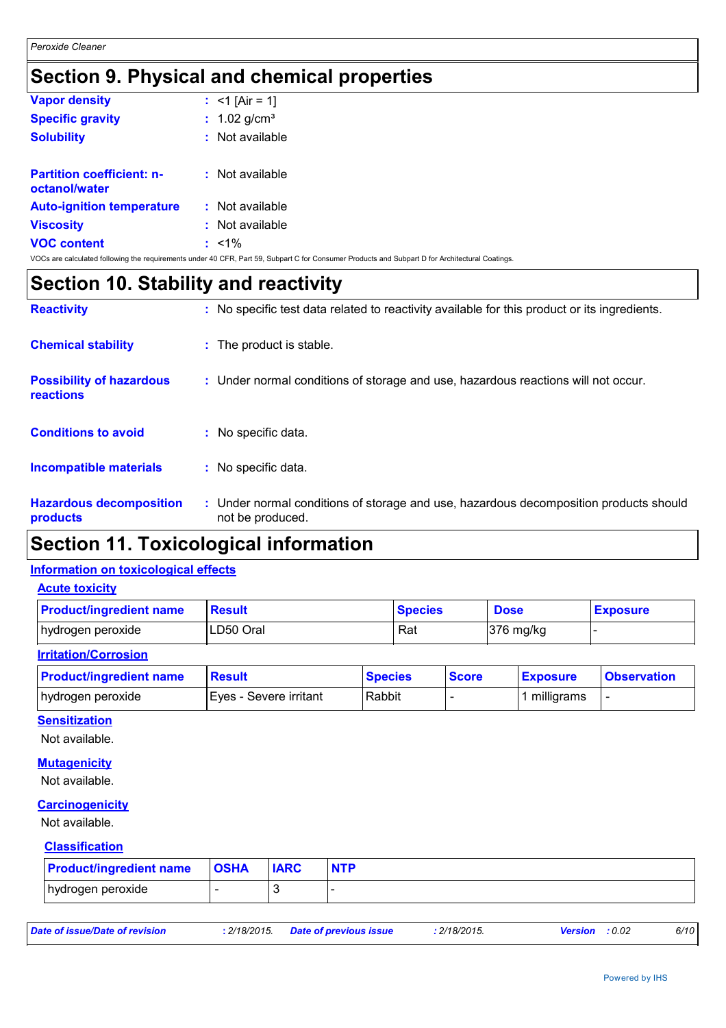### **Section 9. Physical and chemical properties**

| <b>Vapor density</b>                              | : $<$ 1 [Air = 1]                                                                                                                               |  |
|---------------------------------------------------|-------------------------------------------------------------------------------------------------------------------------------------------------|--|
| <b>Specific gravity</b>                           | : $1.02$ g/cm <sup>3</sup>                                                                                                                      |  |
| <b>Solubility</b>                                 | $:$ Not available                                                                                                                               |  |
|                                                   |                                                                                                                                                 |  |
| <b>Partition coefficient: n-</b><br>octanol/water | $:$ Not available                                                                                                                               |  |
| <b>Auto-ignition temperature</b>                  | : Not available                                                                                                                                 |  |
| <b>Viscosity</b>                                  | $:$ Not available                                                                                                                               |  |
| <b>VOC content</b>                                | $: 1\%$                                                                                                                                         |  |
|                                                   | VOCs are calculated following the requirements under 40 CFR, Part 59, Subpart C for Consumer Products and Subpart D for Architectural Coatings. |  |

### **Section 10. Stability and reactivity**

| <b>Reactivity</b>                            | : No specific test data related to reactivity available for this product or its ingredients.              |
|----------------------------------------------|-----------------------------------------------------------------------------------------------------------|
| <b>Chemical stability</b>                    | : The product is stable.                                                                                  |
| <b>Possibility of hazardous</b><br>reactions | : Under normal conditions of storage and use, hazardous reactions will not occur.                         |
| <b>Conditions to avoid</b>                   | : No specific data.                                                                                       |
| <b>Incompatible materials</b>                | : No specific data.                                                                                       |
| <b>Hazardous decomposition</b><br>products   | : Under normal conditions of storage and use, hazardous decomposition products should<br>not be produced. |

### **Section 11. Toxicological information**

### **Information on toxicological effects**

#### **Acute toxicity**

| <b>Product/ingredient name</b> | Result    | <b>Species</b> | <b>Dose</b> | <b>Exposure</b> |
|--------------------------------|-----------|----------------|-------------|-----------------|
| hydrogen peroxide              | LD50 Oral | Rat            | $376$ mg/kg |                 |

#### **Irritation/Corrosion**

| <b>Product/ingredient name</b> | <b>Result</b>          | <b>Species</b> | <b>Score</b> | <u>Exposure</u> | <b>Observation</b> |
|--------------------------------|------------------------|----------------|--------------|-----------------|--------------------|
| hydrogen peroxide              | Eyes - Severe irritant | Rabbit         |              | milligrams      |                    |

#### **Sensitization**

Not available.

#### **Mutagenicity**

Not available.

#### **Carcinogenicity**

Not available.

#### **Classification**

| <b>Product/ingredient name   OSHA</b> | <b>IARC</b> | <b>NTP</b> |
|---------------------------------------|-------------|------------|
| hydrogen peroxide                     |             |            |

| Date of issue/Date of revision | : 2/18/2015 Date of previous issue | : 2/18/2015. | <b>Version</b> : 0.02 | 6/10 |
|--------------------------------|------------------------------------|--------------|-----------------------|------|
|--------------------------------|------------------------------------|--------------|-----------------------|------|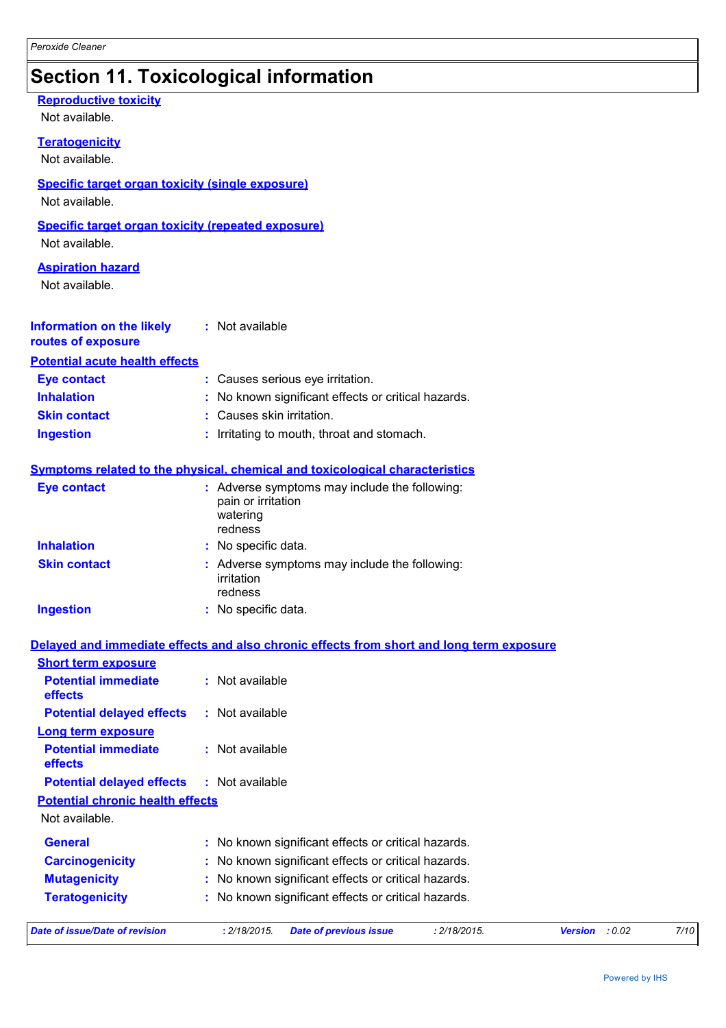## **Section 11. Toxicological information**

| <b>Reproductive toxicity</b><br>Not available.                              |                                                                                            |
|-----------------------------------------------------------------------------|--------------------------------------------------------------------------------------------|
| <b>Teratogenicity</b><br>Not available.                                     |                                                                                            |
| <b>Specific target organ toxicity (single exposure)</b><br>Not available.   |                                                                                            |
| <b>Specific target organ toxicity (repeated exposure)</b><br>Not available. |                                                                                            |
| <b>Aspiration hazard</b><br>Not available.                                  |                                                                                            |
| <b>Information on the likely</b><br>routes of exposure                      | : Not available                                                                            |
| <b>Potential acute health effects</b>                                       |                                                                                            |
| <b>Eye contact</b>                                                          | : Causes serious eye irritation.                                                           |
| <b>Inhalation</b>                                                           | : No known significant effects or critical hazards.                                        |
| <b>Skin contact</b>                                                         | : Causes skin irritation.                                                                  |
| <b>Ingestion</b>                                                            | : Irritating to mouth, throat and stomach.                                                 |
|                                                                             | <b>Symptoms related to the physical, chemical and toxicological characteristics</b>        |
| <b>Eye contact</b>                                                          | : Adverse symptoms may include the following:<br>pain or irritation<br>watering<br>redness |
| <b>Inhalation</b>                                                           | : No specific data.                                                                        |
| <b>Skin contact</b>                                                         | : Adverse symptoms may include the following:<br>irritation<br>redness                     |
| <b>Ingestion</b>                                                            | : No specific data.                                                                        |
|                                                                             | Delayed and immediate effects and also chronic effects from short and long term exposure   |
| <b>Short term exposure</b>                                                  |                                                                                            |
| <b>Potential immediate</b><br>effects                                       | : Not available                                                                            |
| <b>Potential delayed effects</b>                                            | : Not available                                                                            |
| <b>Long term exposure</b><br><b>Potential immediate</b><br>effects          | : Not available                                                                            |
| <b>Potential delayed effects</b>                                            | : Not available                                                                            |
| <b>Potential chronic health effects</b>                                     |                                                                                            |
| Not available.                                                              |                                                                                            |
| <b>General</b>                                                              | : No known significant effects or critical hazards.                                        |
| <b>Carcinogenicity</b>                                                      | No known significant effects or critical hazards.                                          |
| <b>Mutagenicity</b>                                                         | No known significant effects or critical hazards.                                          |
| <b>Teratogenicity</b>                                                       | No known significant effects or critical hazards.                                          |
|                                                                             |                                                                                            |

| Date of issue/Date of revision | : 2/18/2015 Date of previous issue | : 2/18/2015. | <b>Version</b> : 0.02 | 7/10 |
|--------------------------------|------------------------------------|--------------|-----------------------|------|
|                                |                                    |              |                       |      |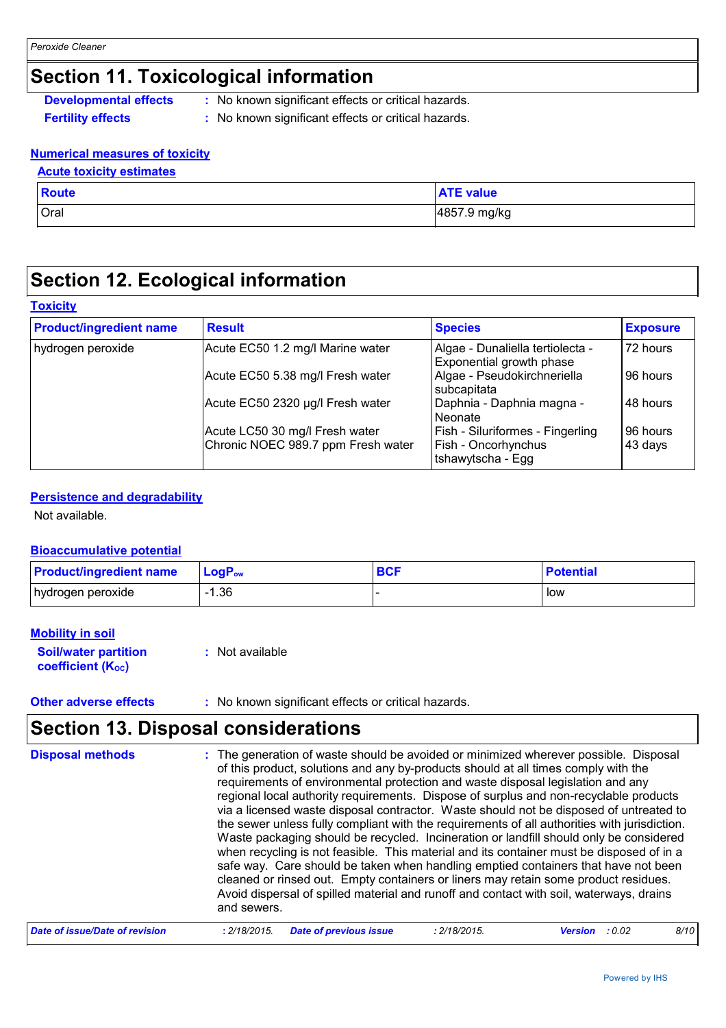### **Section 11. Toxicological information**

**Developmental effects** : No known significant effects or critical hazards.

**Fertility effects :** No known significant effects or critical hazards.

#### **Numerical measures of toxicity**

#### **Acute toxicity estimates**

| <b>Route</b> | <b>ATE value</b> |
|--------------|------------------|
| Oral         | 4857.9 mg/kg     |

### **Section 12. Ecological information**

#### **Toxicity**

| <b>Product/ingredient name</b> | <b>Result</b>                      | <b>Species</b>                                               | <b>Exposure</b> |
|--------------------------------|------------------------------------|--------------------------------------------------------------|-----------------|
| hydrogen peroxide              | Acute EC50 1.2 mg/l Marine water   | Algae - Dunaliella tertiolecta -<br>Exponential growth phase | 72 hours        |
|                                | Acute EC50 5.38 mg/l Fresh water   | Algae - Pseudokirchneriella<br>subcapitata                   | 96 hours        |
|                                | Acute EC50 2320 µg/l Fresh water   | Daphnia - Daphnia magna -<br>Neonate                         | 48 hours        |
|                                | Acute LC50 30 mg/l Fresh water     | Fish - Siluriformes - Fingerling                             | 96 hours        |
|                                | Chronic NOEC 989.7 ppm Fresh water | Fish - Oncorhynchus<br>tshawytscha - Egg                     | 43 days         |

#### **Persistence and degradability**

Not available.

#### **Bioaccumulative potential**

| <b>Product/ingredient name</b> | <b>LoaP</b> <sub>ow</sub> | BCF | <b>Potential</b> |
|--------------------------------|---------------------------|-----|------------------|
| hydrogen peroxide              | . 36                      |     | low              |

#### **Mobility in soil**

**Soil/water partition coefficient (K**<sub>oc</sub>) **:** Not available

#### **Other adverse effects** : No known significant effects or critical hazards.

### **Section 13. Disposal considerations**

| <b>Disposal methods</b> | : The generation of waste should be avoided or minimized wherever possible. Disposal<br>of this product, solutions and any by-products should at all times comply with the<br>requirements of environmental protection and waste disposal legislation and any<br>regional local authority requirements. Dispose of surplus and non-recyclable products<br>via a licensed waste disposal contractor. Waste should not be disposed of untreated to<br>the sewer unless fully compliant with the requirements of all authorities with jurisdiction.<br>Waste packaging should be recycled. Incineration or landfill should only be considered<br>when recycling is not feasible. This material and its container must be disposed of in a<br>safe way. Care should be taken when handling emptied containers that have not been<br>cleaned or rinsed out. Empty containers or liners may retain some product residues.<br>Avoid dispersal of spilled material and runoff and contact with soil, waterways, drains<br>and sewers. |
|-------------------------|-------------------------------------------------------------------------------------------------------------------------------------------------------------------------------------------------------------------------------------------------------------------------------------------------------------------------------------------------------------------------------------------------------------------------------------------------------------------------------------------------------------------------------------------------------------------------------------------------------------------------------------------------------------------------------------------------------------------------------------------------------------------------------------------------------------------------------------------------------------------------------------------------------------------------------------------------------------------------------------------------------------------------------|
|                         | .<br><b>AUAIAAIF</b>                                                                                                                                                                                                                                                                                                                                                                                                                                                                                                                                                                                                                                                                                                                                                                                                                                                                                                                                                                                                          |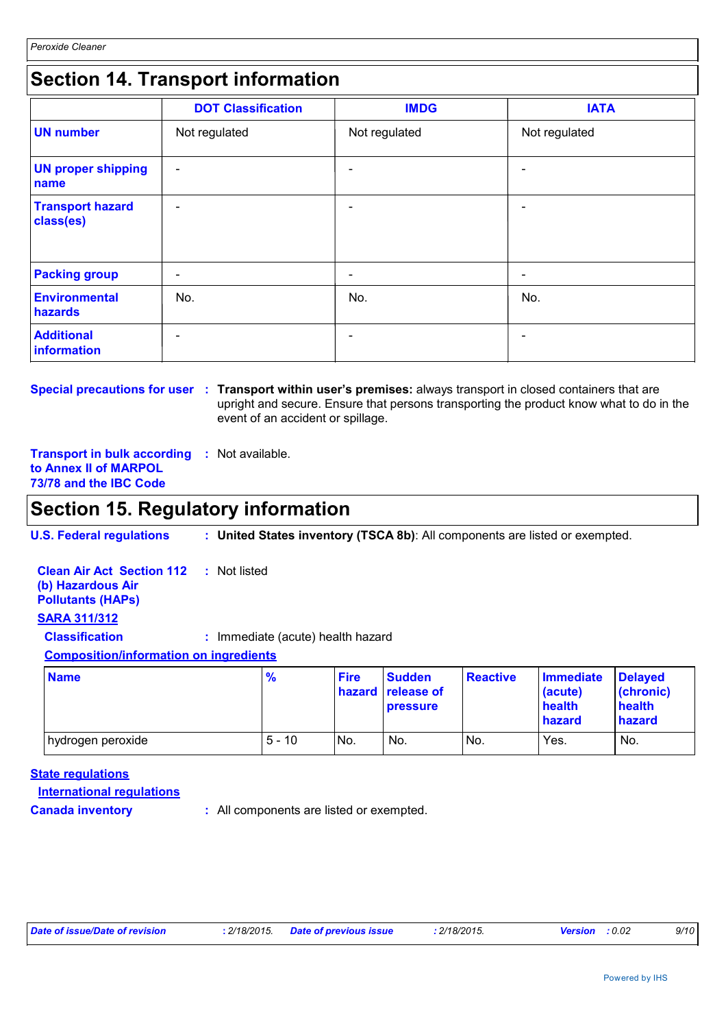Powered by IHS

### **Section 14. Transport information**

|                                      | <b>DOT Classification</b> | <b>IMDG</b>              | <b>IATA</b>              |
|--------------------------------------|---------------------------|--------------------------|--------------------------|
| <b>UN number</b>                     | Not regulated             | Not regulated            | Not regulated            |
| <b>UN proper shipping</b><br>name    | $\overline{\phantom{a}}$  |                          | $\overline{\phantom{0}}$ |
| <b>Transport hazard</b><br>class(es) | $\overline{\phantom{a}}$  |                          | $\overline{\phantom{0}}$ |
| <b>Packing group</b>                 | $\overline{\phantom{a}}$  | $\overline{\phantom{a}}$ | $\overline{\phantom{a}}$ |
| <b>Environmental</b><br>hazards      | No.                       | No.                      | No.                      |
| <b>Additional</b><br>information     | $\overline{\phantom{a}}$  |                          | $\overline{\phantom{0}}$ |

**Special precautions for user** : Transport within user's premises: always transport in closed containers that are upright and secure. Ensure that persons transporting the product know what to do in the event of an accident or spillage.

**Transport in bulk according :** Not available. **to Annex II of MARPOL 73/78 and the IBC Code**

### **Section 15. Regulatory information**

**U.S. Federal regulations : United States inventory (TSCA 8b)**: All components are listed or exempted.

**Clean Air Act Section 112 (b) Hazardous Air Pollutants (HAPs) :** Not listed **SARA 311/312 Classification :** Immediate (acute) health hazard **Composition/information on ingredients**

| <b>Name</b>       | $\frac{9}{6}$ | <b>Fire</b> | <b>Sudden</b><br>hazard release of<br><b>pressure</b> | <b>Reactive</b> | <b>Immediate</b><br>(acute)<br>health<br>hazard | <b>Delayed</b><br>(chronic)<br>health<br>hazard |
|-------------------|---------------|-------------|-------------------------------------------------------|-----------------|-------------------------------------------------|-------------------------------------------------|
| hydrogen peroxide | $5 - 10$      | No.         | No.                                                   | No.             | Yes.                                            | No.                                             |

**State regulations**

**International regulations**

**Canada inventory :** All components are listed or exempted.